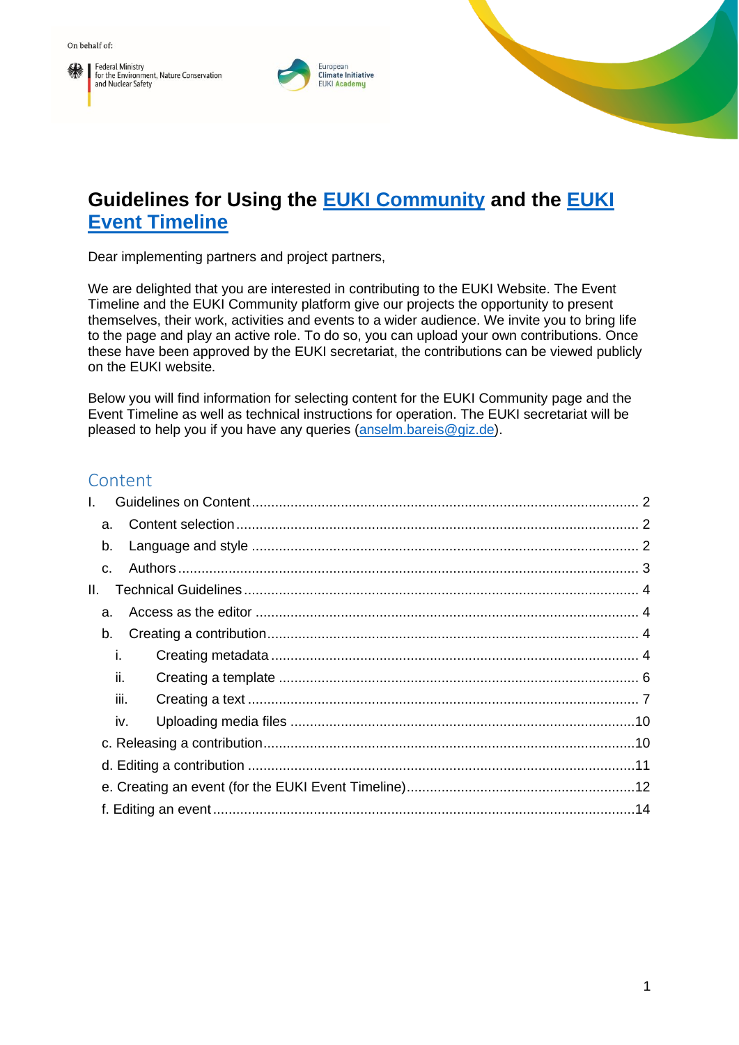**Federal Ministry** Federal Ministry<br>for the Environment, Nature Conservation<br>and Nuclear Safety



# **Guidelines for Using the [EUKI Community](https://www.euki.de/en/euki-community/) and the [EUKI](https://www.euki.de/en/euki-events/#event-current)  [Event Timeline](https://www.euki.de/en/euki-events/#event-current)**

Dear implementing partners and project partners,

We are delighted that you are interested in contributing to the EUKI Website. The Event Timeline and the EUKI Community platform give our projects the opportunity to present themselves, their work, activities and events to a wider audience. We invite you to bring life to the page and play an active role. To do so, you can upload your own contributions. Once these have been approved by the EUKI secretariat, the contributions can be viewed publicly on the EUKI website.

Below you will find information for selecting content for the EUKI Community page and the Event Timeline as well as technical instructions for operation. The EUKI secretariat will be pleased to help you if you have any queries [\(anselm.bareis@giz.de\)](mailto:anselm.bareis@giz.de).

## Content

| L. |                |  |
|----|----------------|--|
|    | a.             |  |
|    | b.             |  |
|    | $\mathsf{C}$ . |  |
| Ш. |                |  |
|    | a.             |  |
|    | b.             |  |
|    | İ.             |  |
|    | II.            |  |
|    | iii.           |  |
|    | iv.            |  |
|    |                |  |
|    |                |  |
|    |                |  |
|    |                |  |
|    |                |  |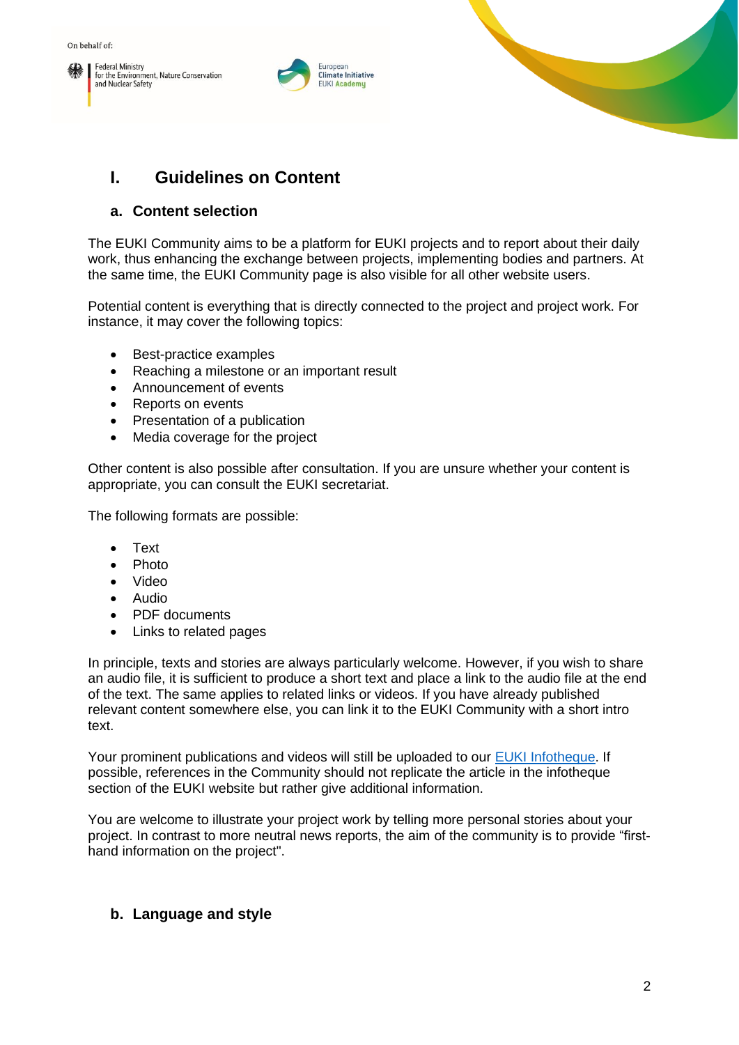





# <span id="page-1-0"></span>**I. Guidelines on Content**

### <span id="page-1-1"></span>**a. Content selection**

The EUKI Community aims to be a platform for EUKI projects and to report about their daily work, thus enhancing the exchange between projects, implementing bodies and partners. At the same time, the EUKI Community page is also visible for all other website users.

Potential content is everything that is directly connected to the project and project work. For instance, it may cover the following topics:

- Best-practice examples
- Reaching a milestone or an important result
- Announcement of events
- Reports on events
- Presentation of a publication
- Media coverage for the project

Other content is also possible after consultation. If you are unsure whether your content is appropriate, you can consult the EUKI secretariat.

The following formats are possible:

- Text
- Photo
- Video
- Audio
- PDF documents
- Links to related pages

In principle, texts and stories are always particularly welcome. However, if you wish to share an audio file, it is sufficient to produce a short text and place a link to the audio file at the end of the text. The same applies to related links or videos. If you have already published relevant content somewhere else, you can link it to the EUKI Community with a short intro text.

Your prominent publications and videos will still be uploaded to our [EUKI Infotheque.](https://www.euki.de/en/infotheque/) If possible, references in the Community should not replicate the article in the infotheque section of the EUKI website but rather give additional information.

You are welcome to illustrate your project work by telling more personal stories about your project. In contrast to more neutral news reports, the aim of the community is to provide "firsthand information on the project".

## <span id="page-1-2"></span>**b. Language and style**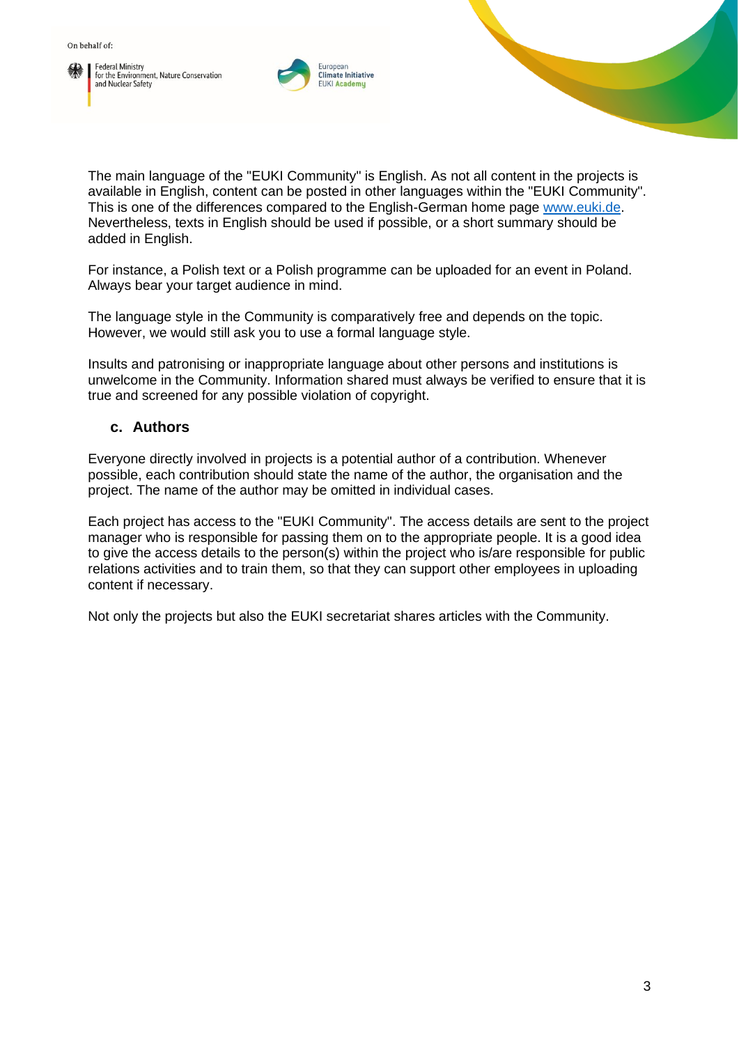



The main language of the "EUKI Community" is English. As not all content in the projects is available in English, content can be posted in other languages within the "EUKI Community". This is one of the differences compared to the English-German home page [www.euki.de.](http://www.euki.de/) Nevertheless, texts in English should be used if possible, or a short summary should be added in English.

For instance, a Polish text or a Polish programme can be uploaded for an event in Poland. Always bear your target audience in mind.

The language style in the Community is comparatively free and depends on the topic. However, we would still ask you to use a formal language style.

Insults and patronising or inappropriate language about other persons and institutions is unwelcome in the Community. Information shared must always be verified to ensure that it is true and screened for any possible violation of copyright.

#### <span id="page-2-0"></span>**c. Authors**

Everyone directly involved in projects is a potential author of a contribution. Whenever possible, each contribution should state the name of the author, the organisation and the project. The name of the author may be omitted in individual cases.

Each project has access to the "EUKI Community". The access details are sent to the project manager who is responsible for passing them on to the appropriate people. It is a good idea to give the access details to the person(s) within the project who is/are responsible for public relations activities and to train them, so that they can support other employees in uploading content if necessary.

Not only the projects but also the EUKI secretariat shares articles with the Community.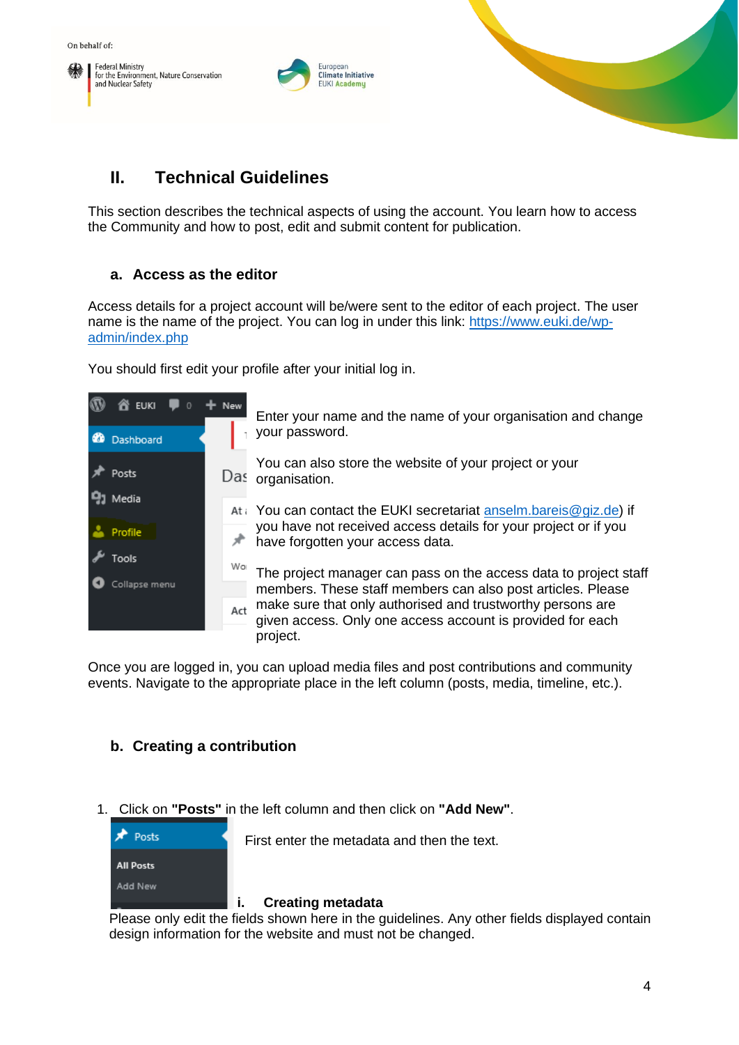



# <span id="page-3-0"></span>**II. Technical Guidelines**

This section describes the technical aspects of using the account. You learn how to access the Community and how to post, edit and submit content for publication.

#### <span id="page-3-1"></span>**a. Access as the editor**

Access details for a project account will be/were sent to the editor of each project. The user name is the name of the project. You can log in under this link: [https://www.euki.de/wp](https://www.euki.de/wp-admin/index.php)[admin/index.php](https://www.euki.de/wp-admin/index.php)

You should first edit your profile after your initial log in.



Once you are logged in, you can upload media files and post contributions and community events. Navigate to the appropriate place in the left column (posts, media, timeline, etc.).

## <span id="page-3-2"></span>**b. Creating a contribution**

1. Click on **"Posts"** in the left column and then click on **"Add New"**.



First enter the metadata and then the text.

#### <span id="page-3-3"></span>**i. Creating metadata**

Please only edit the fields shown here in the guidelines. Any other fields displayed contain design information for the website and must not be changed.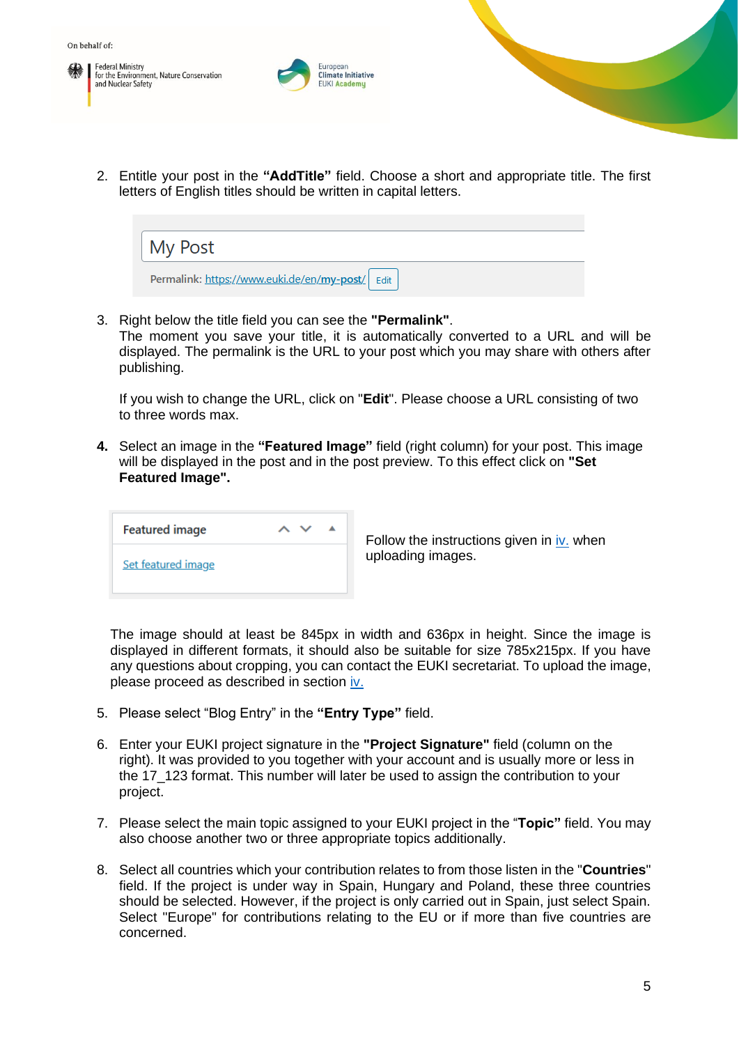**Federal Ministry** for the Environment, Nature Conservation and Nuclear Safety



2. Entitle your post in the **"AddTitle"** field. Choose a short and appropriate title. The first letters of English titles should be written in capital letters.



3. Right below the title field you can see the **"Permalink"**.

The moment you save your title, it is automatically converted to a URL and will be displayed. The permalink is the URL to your post which you may share with others after publishing.

If you wish to change the URL, click on "**Edit**". Please choose a URL consisting of two to three words max.

**4.** Select an image in the **"Featured Image"** field (right column) for your post. This image will be displayed in the post and in the post preview. To this effect click on **"Set Featured Image".**

| <b>Featured image</b>     |  |
|---------------------------|--|
| <b>Set featured image</b> |  |

Follow the instructions given in iv. when uploading images.

The image should at least be 845px in width and 636px in height. Since the image is displayed in different formats, it should also be suitable for size 785x215px. If you have any questions about cropping, you can contact the EUKI secretariat. To upload the image, please proceed as described in section iv.

- 5. Please select "Blog Entry" in the **"Entry Type"** field.
- 6. Enter your EUKI project signature in the **"Project Signature"** field (column on the right). It was provided to you together with your account and is usually more or less in the 17\_123 format. This number will later be used to assign the contribution to your project.
- 7. Please select the main topic assigned to your EUKI project in the "**Topic"** field. You may also choose another two or three appropriate topics additionally.
- 8. Select all countries which your contribution relates to from those listen in the "**Countries**" field. If the project is under way in Spain, Hungary and Poland, these three countries should be selected. However, if the project is only carried out in Spain, just select Spain. Select "Europe" for contributions relating to the EU or if more than five countries are concerned.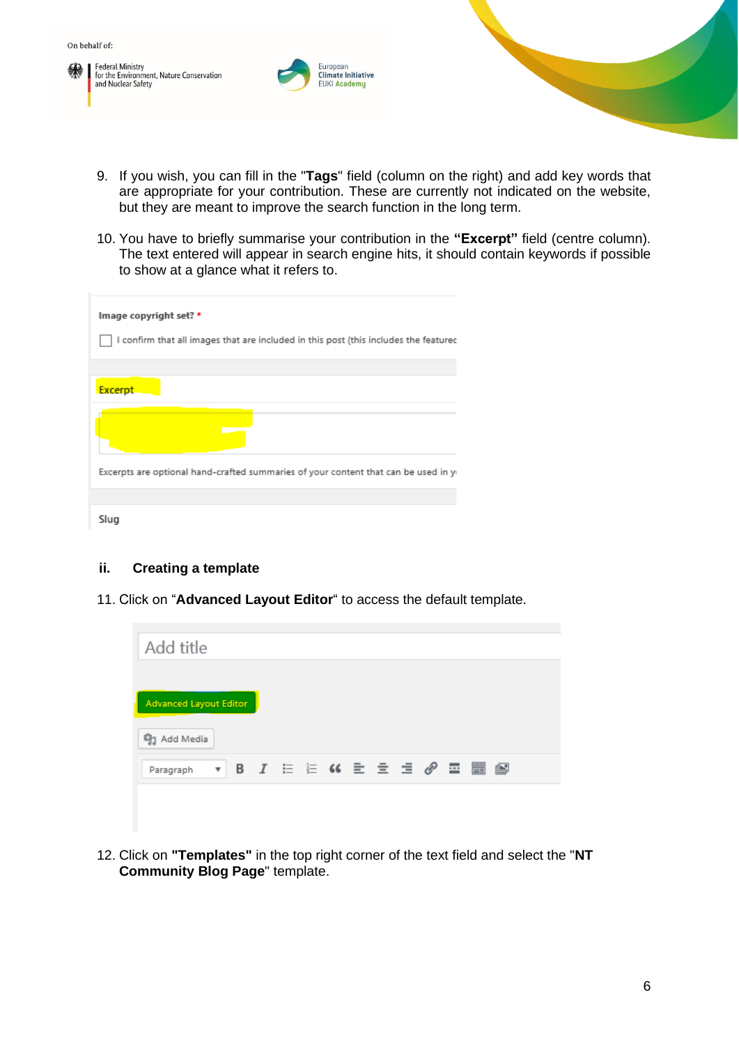**Federal Ministry** Federal Willistry<br>for the Environment, Nature Conservation<br>and Nuclear Safety



- 9. If you wish, you can fill in the "**Tags**" field (column on the right) and add key words that are appropriate for your contribution. These are currently not indicated on the website, but they are meant to improve the search function in the long term.
- 10. You have to briefly summarise your contribution in the **"Excerpt"** field (centre column). The text entered will appear in search engine hits, it should contain keywords if possible to show at a glance what it refers to.

| Image copyright set? *<br>I confirm that all images that are included in this post (this includes the featurec |
|----------------------------------------------------------------------------------------------------------------|
|                                                                                                                |
| <b>Excerpt</b>                                                                                                 |
|                                                                                                                |
| Excerpts are optional hand-crafted summaries of your content that can be used in y                             |
|                                                                                                                |
| Slug                                                                                                           |

#### <span id="page-5-0"></span>**ii. Creating a template**

11. Click on "**Advanced Layout Editor**" to access the default template.

| Add title                     |                    |  |  |  |  |  |  |
|-------------------------------|--------------------|--|--|--|--|--|--|
|                               |                    |  |  |  |  |  |  |
| <b>Advanced Layout Editor</b> |                    |  |  |  |  |  |  |
| <b>吗</b> 】 Add Media          |                    |  |  |  |  |  |  |
| Paragraph                     | $\pmb{\mathrm{v}}$ |  |  |  |  |  |  |
|                               |                    |  |  |  |  |  |  |

12. Click on **"Templates"** in the top right corner of the text field and select the "**NT Community Blog Page**" template.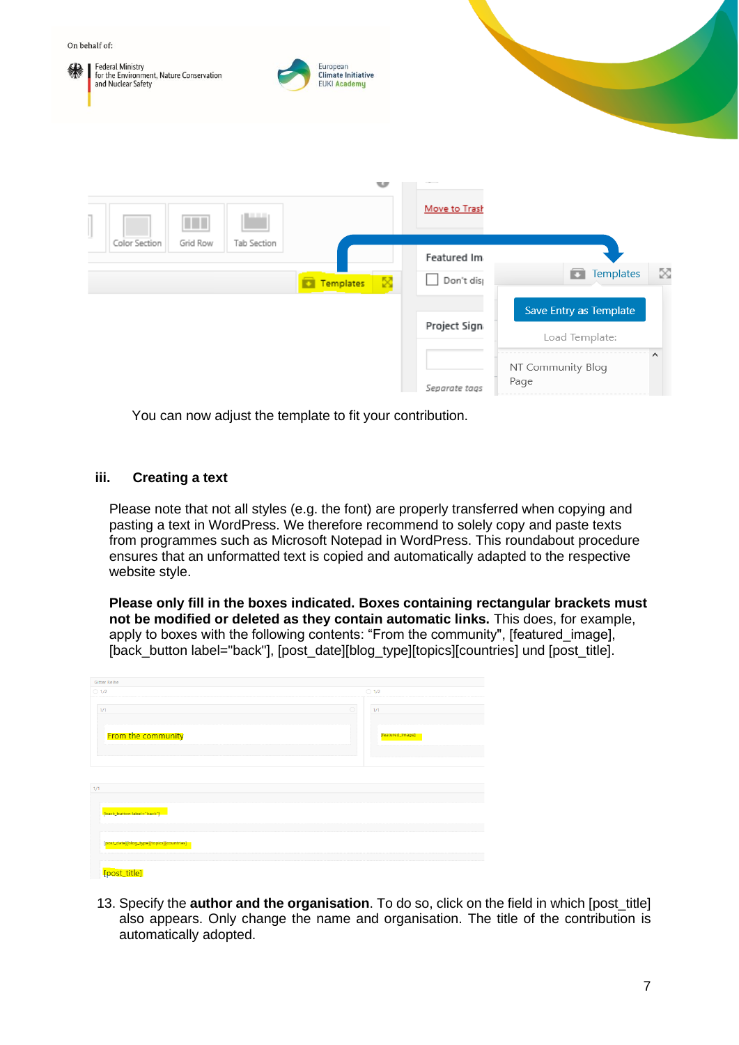

You can now adjust the template to fit your contribution.

#### <span id="page-6-0"></span>**iii. Creating a text**

Please note that not all styles (e.g. the font) are properly transferred when copying and pasting a text in WordPress. We therefore recommend to solely copy and paste texts from programmes such as Microsoft Notepad in WordPress. This roundabout procedure ensures that an unformatted text is copied and automatically adapted to the respective website style.

**Please only fill in the boxes indicated. Boxes containing rectangular brackets must not be modified or deleted as they contain automatic links.** This does, for example, apply to boxes with the following contents: "From the community", [featured image], [back\_button label="back"], [post\_date][blog\_type][topics][countries] und [post\_title].

| <b>Gitter Reihe</b>                       |                  |
|-------------------------------------------|------------------|
| $\bigcirc$ 1/2                            | $\bigcirc$ 1/2   |
|                                           |                  |
| 1/1                                       | $\circ$<br>1/1   |
|                                           |                  |
|                                           |                  |
| From the community                        | [featured_image] |
|                                           |                  |
|                                           |                  |
|                                           |                  |
|                                           |                  |
|                                           |                  |
|                                           |                  |
|                                           |                  |
|                                           |                  |
|                                           |                  |
|                                           |                  |
| 1/1                                       |                  |
| [back_button label="back"]                |                  |
|                                           |                  |
|                                           |                  |
|                                           |                  |
| [post_date][blog_type][topics][countries] |                  |
|                                           |                  |

13. Specify the **author and the organisation**. To do so, click on the field in which [post\_title] also appears. Only change the name and organisation. The title of the contribution is automatically adopted.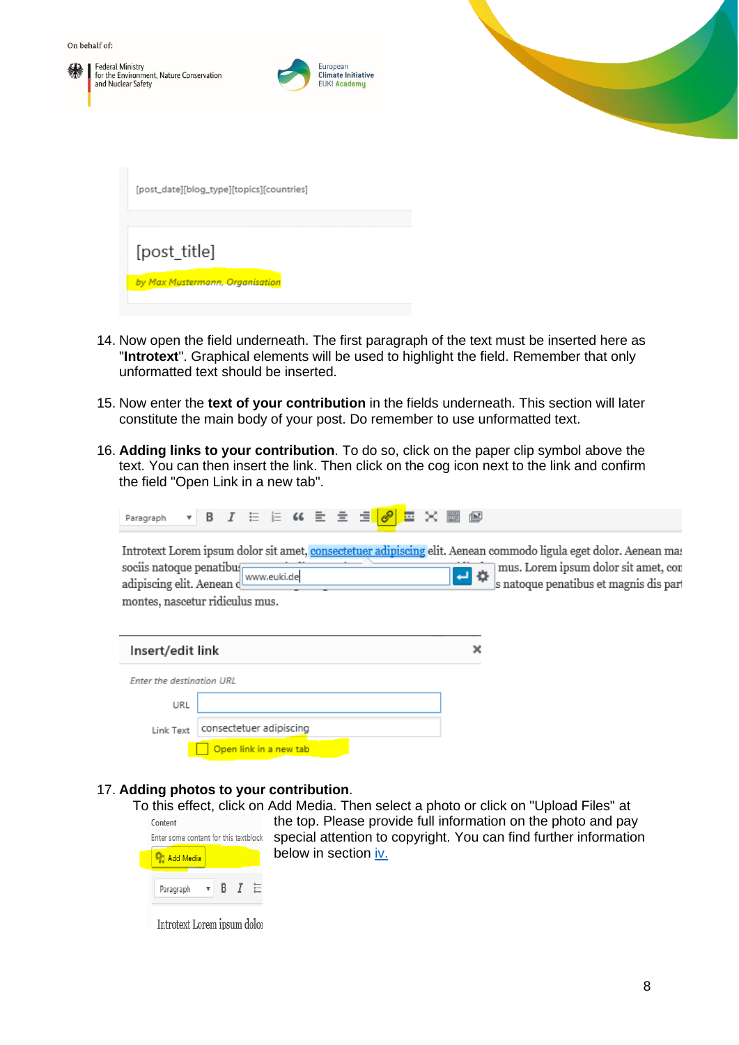| On behalf of:<br>绿 | Federal Ministry<br>for the Environment, Nature Conservation<br>and Nuclear Safety | European<br><b>Climate Initiative</b><br><b>EUKI Academy</b> |
|--------------------|------------------------------------------------------------------------------------|--------------------------------------------------------------|
|                    | [post_date][blog_type][topics][countries]                                          |                                                              |
|                    | [post_title]<br>by Max Mustermann, Organisation                                    |                                                              |

- 14. Now open the field underneath. The first paragraph of the text must be inserted here as "**Introtext**". Graphical elements will be used to highlight the field. Remember that only unformatted text should be inserted.
- 15. Now enter the **text of your contribution** in the fields underneath. This section will later constitute the main body of your post. Do remember to use unformatted text.
- 16. **Adding links to your contribution**. To do so, click on the paper clip symbol above the text. You can then insert the link. Then click on the cog icon next to the link and confirm the field "Open Link in a new tab".

|--|

Introtext Lorem ipsum dolor sit amet, consectetuer adipiscing elit. Aenean commodo ligula eget dolor. Aenean mas mus. Lorem ipsum dolor sit amet, con sociis natoque penatibus sociis natoque penatibu<br>adipiscing elit. Aenean www.euki.de پ 烧 s natoque penatibus et magnis dis part montes, nascetur ridiculus mus.

| Insert/edit link          |                         |  |
|---------------------------|-------------------------|--|
| Enter the destination URL |                         |  |
| URL                       |                         |  |
| Link Text                 | consectetuer adipiscing |  |
|                           | Open link in a new tab  |  |

#### 17. **Adding photos to your contribution**.

To this effect, click on Add Media. Then select a photo or click on "Upload Files" at

| Content<br>Enter some content for this textblock |              |     | the top.<br>special a |
|--------------------------------------------------|--------------|-----|-----------------------|
| Add Media                                        |              |     | below in              |
| Paragraph                                        | $\mathbf{v}$ | B I |                       |

Please provide full information on the photo and pay attention to copyright. You can find further information section iv.

Introtext Lorem ipsum dolor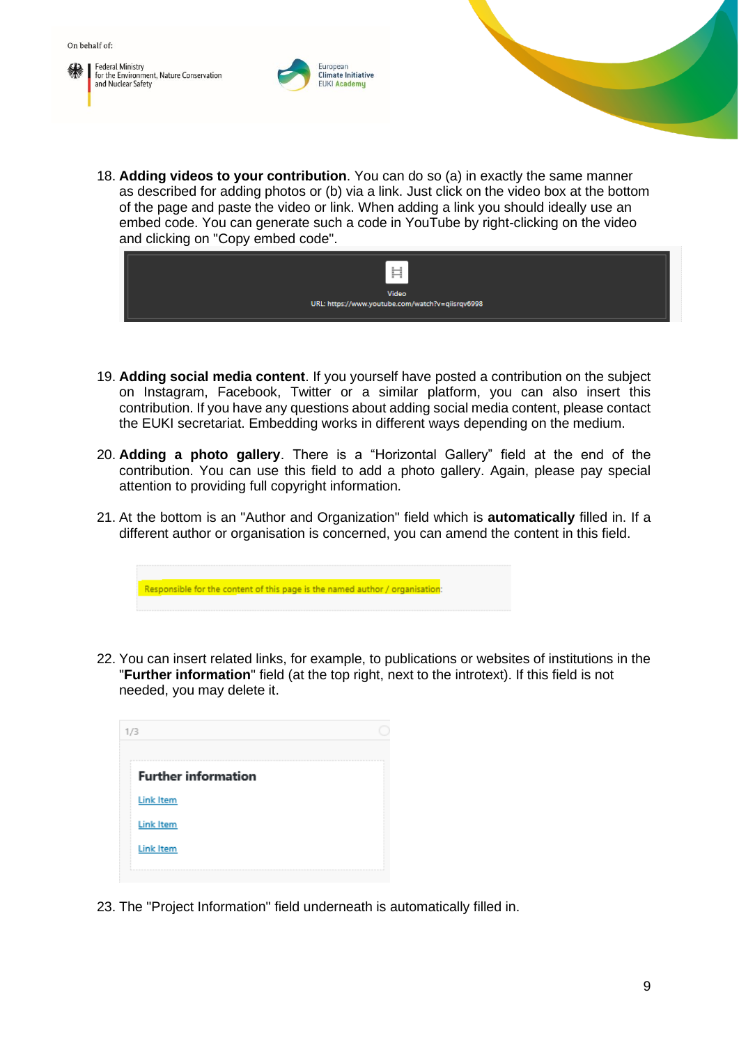**Federal Ministry** for the Environment, Nature Conservation and Nuclear Safety



18. **Adding videos to your contribution**. You can do so (a) in exactly the same manner as described for adding photos or (b) via a link. Just click on the video box at the bottom of the page and paste the video or link. When adding a link you should ideally use an embed code. You can generate such a code in YouTube by right-clicking on the video and clicking on "Copy embed code".



- 19. **Adding social media content**. If you yourself have posted a contribution on the subject on Instagram, Facebook, Twitter or a similar platform, you can also insert this contribution. If you have any questions about adding social media content, please contact the EUKI secretariat. Embedding works in different ways depending on the medium.
- 20. **Adding a photo gallery**. There is a "Horizontal Gallery" field at the end of the contribution. You can use this field to add a photo gallery. Again, please pay special attention to providing full copyright information.
- 21. At the bottom is an "Author and Organization" field which is **automatically** filled in. If a different author or organisation is concerned, you can amend the content in this field.

Responsible for the content of this page is the named author / organisation

22. You can insert related links, for example, to publications or websites of institutions in the "**Further information**" field (at the top right, next to the introtext). If this field is not needed, you may delete it.

| 1/3                        |                        |
|----------------------------|------------------------|
| <b>Further information</b> |                        |
| <b>Link Item</b>           |                        |
| Link Item                  |                        |
| Link Item                  |                        |
|                            | ---------------------- |

23. The "Project Information" field underneath is automatically filled in.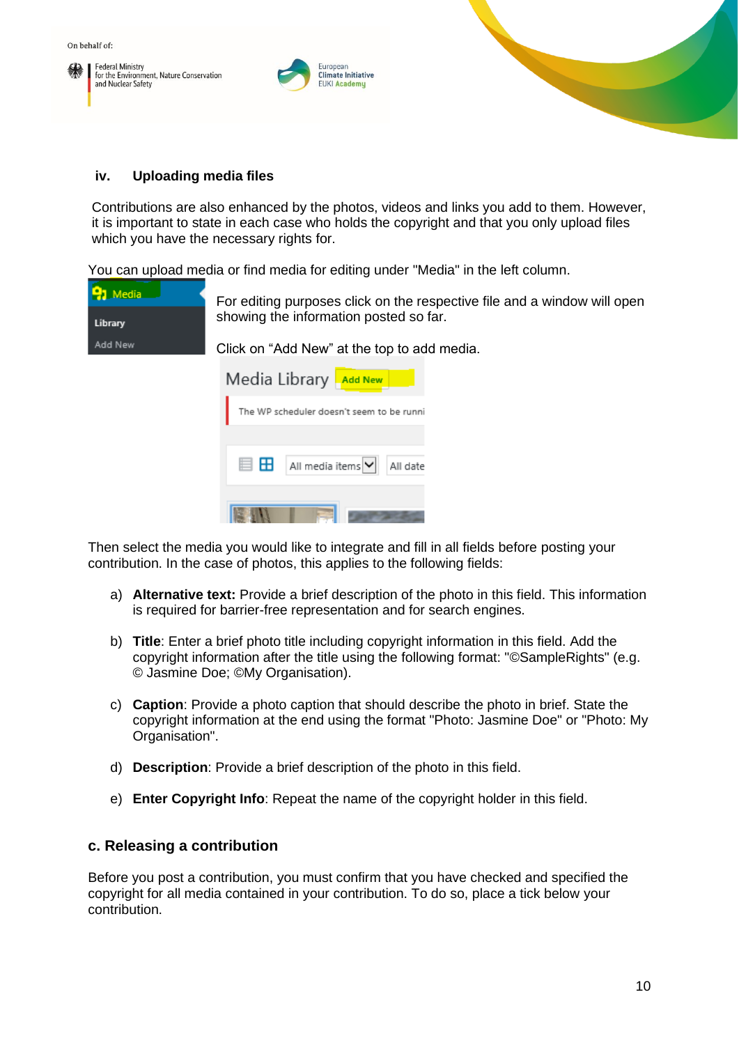**Federal Ministry** for the Environment, Nature Conservation and Nuclear Safety



#### <span id="page-9-0"></span>**iv. Uploading media files**

Contributions are also enhanced by the photos, videos and links you add to them. However, it is important to state in each case who holds the copyright and that you only upload files which you have the necessary rights for.

You can upload media or find media for editing under "Media" in the left column.

| <b>PJ</b> Media |  |
|-----------------|--|
| Library         |  |
| Add New         |  |

For editing purposes click on the respective file and a window will open showing the information posted so far.

Click on "Add New" at the top to add media. Media Library **Add New** The WP scheduler doesn't seem to be runni **■ 田** All media items V All date EM

Then select the media you would like to integrate and fill in all fields before posting your contribution. In the case of photos, this applies to the following fields:

- a) **Alternative text:** Provide a brief description of the photo in this field. This information is required for barrier-free representation and for search engines.
- b) **Title**: Enter a brief photo title including copyright information in this field. Add the copyright information after the title using the following format: "©SampleRights" (e.g. © Jasmine Doe; ©My Organisation).
- c) **Caption**: Provide a photo caption that should describe the photo in brief. State the copyright information at the end using the format "Photo: Jasmine Doe" or "Photo: My Organisation".
- d) **Description**: Provide a brief description of the photo in this field.
- e) **Enter Copyright Info**: Repeat the name of the copyright holder in this field.

#### <span id="page-9-1"></span>**c. Releasing a contribution**

Before you post a contribution, you must confirm that you have checked and specified the copyright for all media contained in your contribution. To do so, place a tick below your contribution.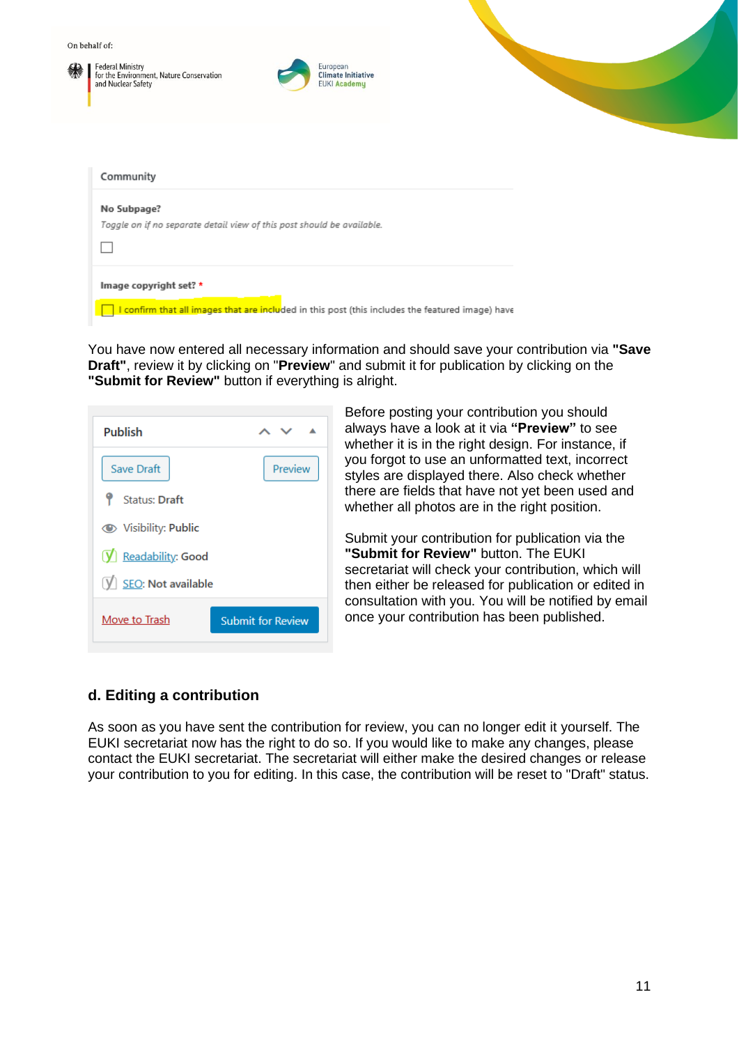

You have now entered all necessary information and should save your contribution via **"Save Draft"**, review it by clicking on "**Preview**" and submit it for publication by clicking on the **"Submit for Review"** button if everything is alright.

| <b>Publish</b>       |                          |
|----------------------|--------------------------|
| Save Draft           | Preview                  |
| <b>Status: Draft</b> |                          |
| Visibility: Public   |                          |
| V Readability: Good  |                          |
| V SEO: Not available |                          |
| Move to Trash        | <b>Submit for Review</b> |

Before posting your contribution you should always have a look at it via **"Preview"** to see whether it is in the right design. For instance, if you forgot to use an unformatted text, incorrect styles are displayed there. Also check whether there are fields that have not yet been used and whether all photos are in the right position.

Submit your contribution for publication via the **"Submit for Review"** button. The EUKI secretariat will check your contribution, which will then either be released for publication or edited in consultation with you. You will be notified by email once your contribution has been published.

#### <span id="page-10-0"></span>**d. Editing a contribution**

As soon as you have sent the contribution for review, you can no longer edit it yourself. The EUKI secretariat now has the right to do so. If you would like to make any changes, please contact the EUKI secretariat. The secretariat will either make the desired changes or release your contribution to you for editing. In this case, the contribution will be reset to "Draft" status.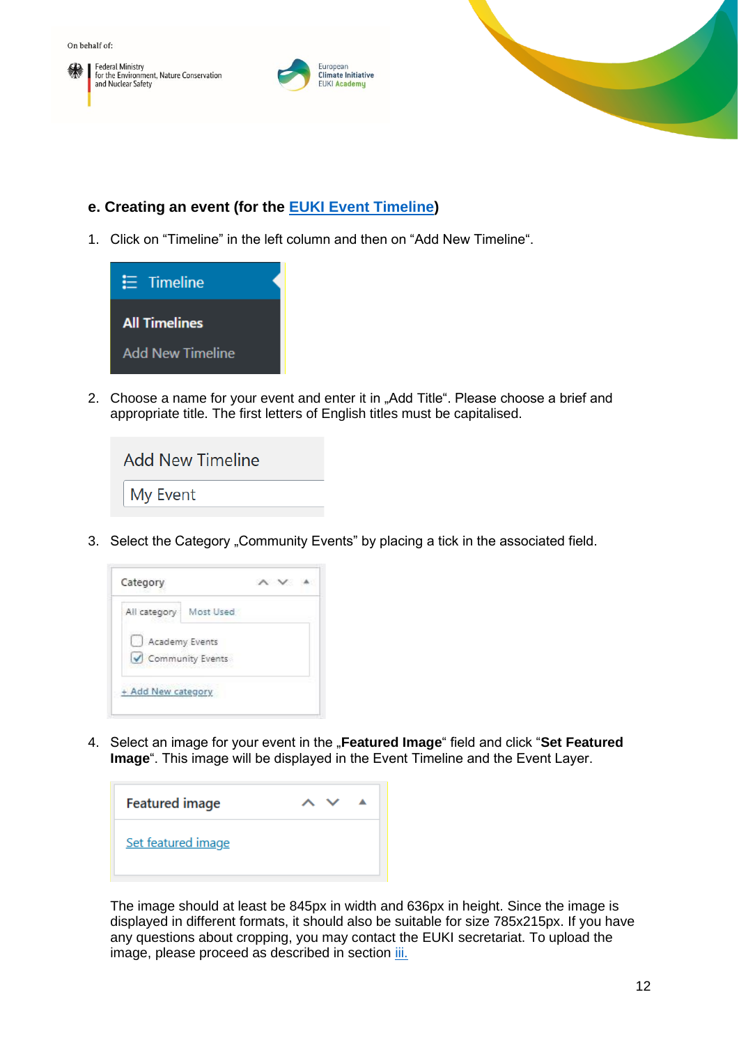





### <span id="page-11-0"></span>**e. Creating an event (for the [EUKI Event](https://www.euki.de/en/euki-events/#event-current) Timeline)**

1. Click on "Timeline" in the left column and then on "Add New Timeline".



2. Choose a name for your event and enter it in "Add Title". Please choose a brief and appropriate title. The first letters of English titles must be capitalised.

| <b>Add New Timeline</b> |  |
|-------------------------|--|
| My Event                |  |

3. Select the Category "Community Events" by placing a tick in the associated field.



4. Select an image for your event in the "Featured Image" field and click "Set Featured **Image**". This image will be displayed in the Event Timeline and the Event Layer.

| <b>Featured image</b> |  |  |
|-----------------------|--|--|
| Set featured image    |  |  |

The image should at least be 845px in width and 636px in height. Since the image is displayed in different formats, it should also be suitable for size 785x215px. If you have any questions about cropping, you may contact the EUKI secretariat. To upload the image, please proceed as described in section *iii.*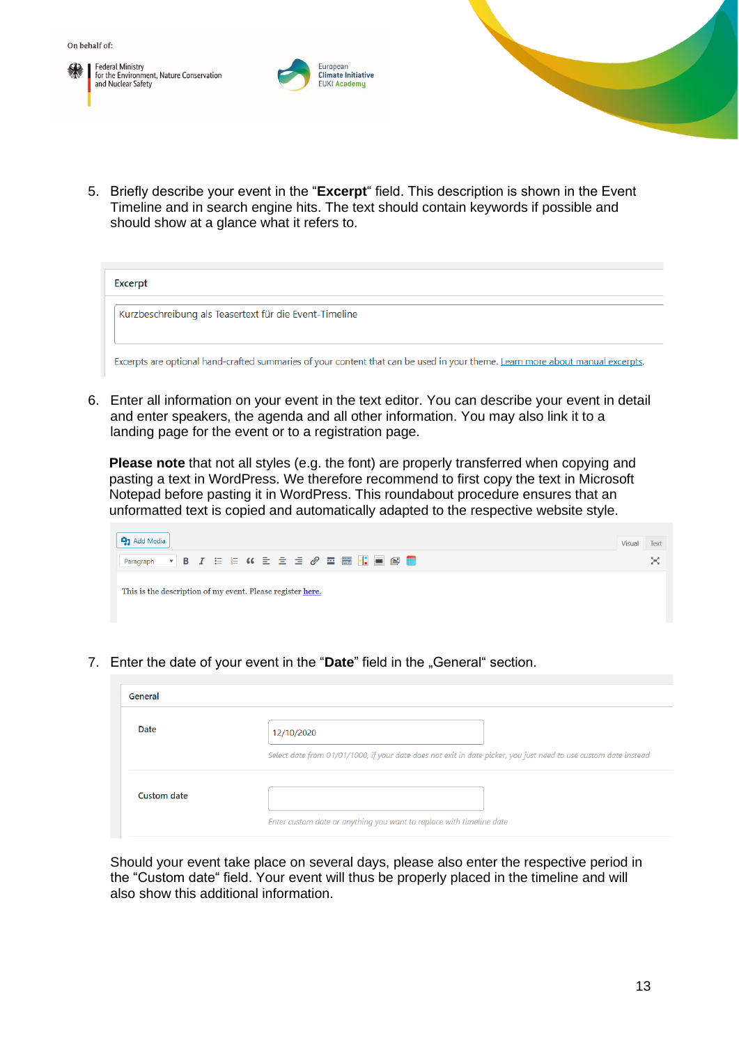**Federal Ministry** For the Environment, Nature Conservation<br>and Nuclear Safety



5. Briefly describe your event in the "**Excerpt**" field. This description is shown in the Event Timeline and in search engine hits. The text should contain keywords if possible and should show at a glance what it refers to.

| Excerpt                                                                                                                        |  |  |
|--------------------------------------------------------------------------------------------------------------------------------|--|--|
| Kurzbeschreibung als Teasertext für die Event-Timeline                                                                         |  |  |
| Excerpts are optional hand-crafted summaries of your content that can be used in your theme. Learn more about manual excerpts. |  |  |

6. Enter all information on your event in the text editor. You can describe your event in detail and enter speakers, the agenda and all other information. You may also link it to a landing page for the event or to a registration page.

**Please note** that not all styles (e.g. the font) are properly transferred when copying and pasting a text in WordPress. We therefore recommend to first copy the text in Microsoft Notepad before pasting it in WordPress. This roundabout procedure ensures that an unformatted text is copied and automatically adapted to the respective website style.



7. Enter the date of your event in the "Date" field in the "General" section.

| General     |                                                                                                                  |
|-------------|------------------------------------------------------------------------------------------------------------------|
| Date        | 12/10/2020                                                                                                       |
|             | Select date from 01/01/1000, if your date does not exit in date picker, you just need to use custom date instead |
| Custom date | Enter custom date or anything you want to replace with timeline date                                             |

Should your event take place on several days, please also enter the respective period in the "Custom date" field. Your event will thus be properly placed in the timeline and will also show this additional information.